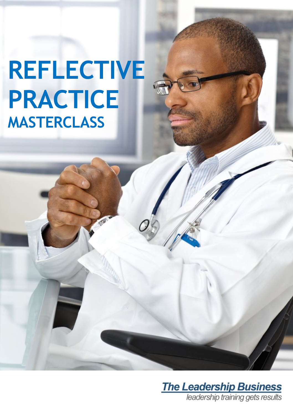# **REFLECTIVE PRACTICE MASTERCLASS**

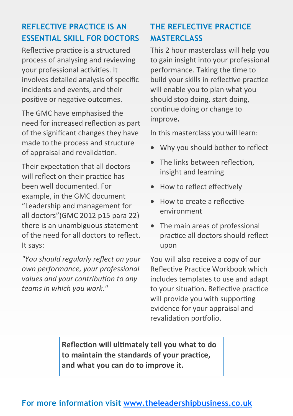## **REFLECTIVE PRACTICE IS AN ESSENTIAL SKILL FOR DOCTORS**

Reflective practice is a structured process of analysing and reviewing your professional activities. It involves detailed analysis of specific incidents and events, and their positive or negative outcomes.

The GMC have emphasised the need for increased reflection as part of the significant changes they have made to the process and structure of appraisal and revalidation.

Their expectation that all doctors will reflect on their practice has been well documented. For example, in the GMC document "Leadership and management for all doctors"(GMC 2012 p15 para 22) there is an unambiguous statement of the need for all doctors to reflect. It says:

*"You should regularly reflect on your own performance, your professional values and your contribution to any teams in which you work."* 

## **THE REFLECTIVE PRACTICE MASTERCLASS**

This 2 hour masterclass will help you to gain insight into your professional performance. Taking the time to build your skills in reflective practice will enable you to plan what you should stop doing, start doing, continue doing or change to improve**.** 

In this masterclass you will learn:

- Why you should bother to reflect
- The links between reflection, insight and learning
- How to reflect effectively
- How to create a reflective environment
- The main areas of professional practice all doctors should reflect upon

You will also receive a copy of our Reflective Practice Workbook which includes templates to use and adapt to your situation. Reflective practice will provide you with supporting evidence for your appraisal and revalidation portfolio.

**Reflection will ultimately tell you what to do to maintain the standards of your practice, and what you can do to improve it.**